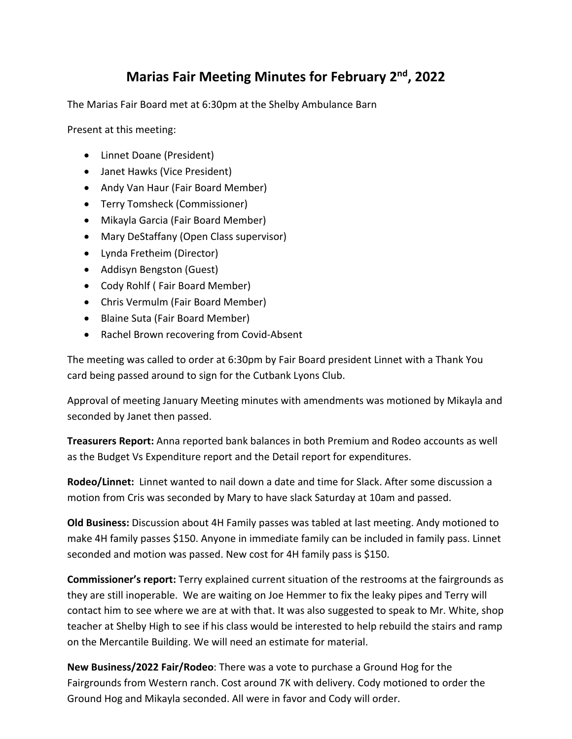## **Marias Fair Meeting Minutes for February 2nd , 2022**

The Marias Fair Board met at 6:30pm at the Shelby Ambulance Barn

Present at this meeting:

- Linnet Doane (President)
- Janet Hawks (Vice President)
- Andy Van Haur (Fair Board Member)
- Terry Tomsheck (Commissioner)
- Mikayla Garcia (Fair Board Member)
- Mary DeStaffany (Open Class supervisor)
- Lynda Fretheim (Director)
- Addisyn Bengston (Guest)
- Cody Rohlf ( Fair Board Member)
- Chris Vermulm (Fair Board Member)
- Blaine Suta (Fair Board Member)
- Rachel Brown recovering from Covid-Absent

The meeting was called to order at 6:30pm by Fair Board president Linnet with a Thank You card being passed around to sign for the Cutbank Lyons Club.

Approval of meeting January Meeting minutes with amendments was motioned by Mikayla and seconded by Janet then passed.

**Treasurers Report:** Anna reported bank balances in both Premium and Rodeo accounts as well as the Budget Vs Expenditure report and the Detail report for expenditures.

**Rodeo/Linnet:** Linnet wanted to nail down a date and time for Slack. After some discussion a motion from Cris was seconded by Mary to have slack Saturday at 10am and passed.

**Old Business:** Discussion about 4H Family passes was tabled at last meeting. Andy motioned to make 4H family passes \$150. Anyone in immediate family can be included in family pass. Linnet seconded and motion was passed. New cost for 4H family pass is \$150.

**Commissioner's report:** Terry explained current situation of the restrooms at the fairgrounds as they are still inoperable. We are waiting on Joe Hemmer to fix the leaky pipes and Terry will contact him to see where we are at with that. It was also suggested to speak to Mr. White, shop teacher at Shelby High to see if his class would be interested to help rebuild the stairs and ramp on the Mercantile Building. We will need an estimate for material.

**New Business/2022 Fair/Rodeo**: There was a vote to purchase a Ground Hog for the Fairgrounds from Western ranch. Cost around 7K with delivery. Cody motioned to order the Ground Hog and Mikayla seconded. All were in favor and Cody will order.